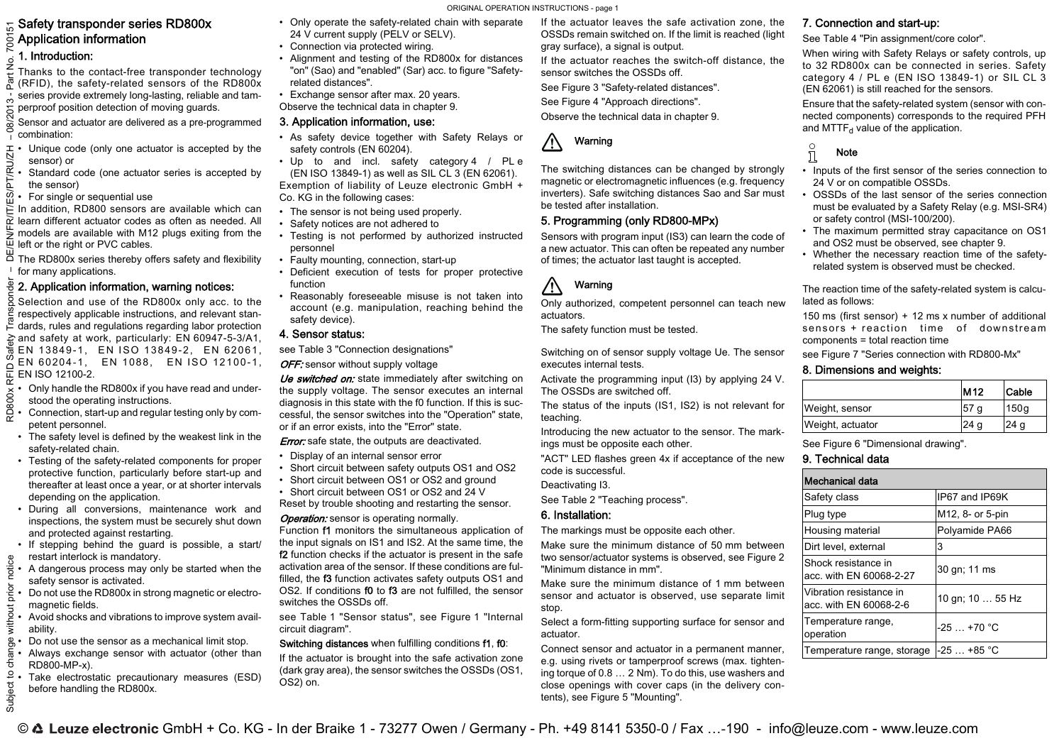## Safety transponder series RD800x  $\bar{\S}$  Application information

## 1. Introduction:

Thanks to the contact-free transponder technology ್ಲಿ (RFID), the safety-related sensors of the RD800x series provide extremely long-lasting, reliable and tamperproof position detection of moving guards.

Sensor and actuator are delivered as a pre-programmed combination:

- Unique code (only one actuator is accepted by the
- sensor) or Standard code (one actuator series is accepted by
- the sensor) For single or sequential use

In addition, RD800 sensors are available which can M learn different actuator codes as often as needed. Allmodels are available with M12 plugs exiting from the ίψ left or the right or PVC cables.

The RD800x series thereby offers safety and flexibility <sup>1</sup> for many applications.

## 2. Application information, warning notices:

Selection and use of the RD800x only acc. to the respectively applicable instructions, and relevant stan- $\tilde{\vdash}$  dards, rules and regulations regarding labor protection and safety at work, particularly: EN 60947-5-3/A1, Safe EN 13849-1, EN ISO 13849-2, EN 62061, EN 60204-1, EN 1088, EN ISO 12100-1,  $\Box$ 두 EN ISO 12100-2.

- Only handle the RD800x if you have read and under-**RD800x** •stood the operating instructions.
- • Connection, start-up and regular testing only by competent personnel.
- The safety level is defined by the weakest link in the safety-related chain.
- Testing of the safety-related components for proper protective function, particularly before start-up and thereafter at least once a year, or at shorter intervals depending on the application.
- During all conversions, maintenance work and inspections, the system must be securely shut down and protected against restarting.
- If stepping behind the guard is possible, a start/ restart interlock is mandatory.
- • A dangerous process may only be started when the safety sensor is activated.
- Do not use the RD800x in strong magnetic or electromagnetic fields.

• Avoid shocks and vibrations to improve system availability.

• Do not use the sensor as a mechanical limit stop. • Always exchange sensor with actuator (other than RD800-MP-x).

• Take electrostatic precautionary measures (ESD) before handling the RD800x.

- • Only operate the safety-related chain with separate 24 V current supply (PELV or SELV). • Connection via protected wiring.
- Alignment and testing of the RD800x for distances "on" (Sao) and "enabled" (Sar) acc. to figure "Safetyrelated distances".
- Exchange sensor after max. 20 years. Observe the technical data in [chapter](#page-0-0) 9.

## 3. Application information, use:

- As safety device together with Safety Relays or safety controls (EN 60204).
- Up to and incl. safety category 4 / PL <sup>e</sup> (EN ISO 13849-1) as well as SIL CL 3 (EN 62061). Exemption of liability of Leuze electronic GmbH + Co. KG in the following cases:
- The sensor is not being used properly.
- Safety notices are not adhered to
- Testing is not performed by authorized instructed personnel
- Faulty mounting, connection, start-up
- Deficient execution of tests for proper protective function
- • Reasonably foreseeable misuse is not taken into account (e.g. manipulation, reaching behind the safety device).

### 4. Sensor status:

see Table [3 "Connection designations"](#page-2-0)

OFF: sensor without supply voltage

Ue switched on: state immediately after switching on the supply voltage. The sensor executes an internal diagnosis in this state with the f0 function. If this is successful, the sensor switches into the "Operation" state, or if an error exists, into the "Error" state.

#### **Error:** safe state, the outputs are deactivated.

- Display of an internal sensor error
- Short circuit between safety outputs OS1 and OS2
- Short circuit between OS1 or OS2 and ground
- Short circuit between OS1 or OS2 and 24 V
- Reset by trouble shooting and restarting the sensor.

#### **Operation:** sensor is operating normally.

Function f1 monitors the simultaneous application of the input signals on IS1 and IS2. At the same time, the f2 function checks if the actuator is present in the safe activation area of the sensor. If these conditions are fulfilled, the f3 function activates safety outputs OS1 and OS2. If conditions f0 to f3 are not fulfilled, the sensor switches the OSSDs off.

see Table [1 "Sensor status"](#page-2-1), see Figure [1 "Internal](#page-2-2) [circuit diagram"](#page-2-2).

### Switching distances when fulfilling conditions f1, f0:

If the actuator is brought into the safe activation zone (dark gray area), the sensor switches the OSSDs (OS1, OS2) on.

If the actuator leaves the safe activation zone, the OSSDs remain switched on. If the limit is reached (light gray surface), a signal is output.

If the actuator reaches the switch-off distance, the sensor switches the OSSDs off.

See Figure [3 "Safety-related distances"](#page-2-3).

See Figure [4 "Approach directions"](#page-2-4).

Observe the technical data in [chapter](#page-0-0) 9.

#### **A** Warning

The switching distances can be changed by strongly magnetic or electromagnetic influences (e.g. frequency inverters). Safe switching distances Sao and Sar must be tested after installation.

## 5. Programming (only RD800-MPx)

Sensors with program input (IS3) can learn the code of a new actuator. This can often be repeated any number of times; the actuator last taught is accepted.

#### $\bigwedge$ Warning

Only authorized, competent personnel can teach new actuators.

The safety function must be tested.

Switching on of sensor supply voltage Ue. The sensor executes internal tests.

Activate the programming input (I3) by applying 24 V. The OSSDs are switched off.

The status of the inputs (IS1, IS2) is not relevant for teaching.

Introducing the new actuator to the sensor. The markings must be opposite each other.

"ACT" LED flashes green 4x if acceptance of the new code is successful.

Deactivating I3.

See Table [2 "Teaching process"](#page-2-5).

## 6. Installation:

The markings must be opposite each other.

Make sure the minimum distance of 50 mm between two sensor/actuator systems is observed, see [Figure](#page-2-6) 2 ["Minimum distance in mm"](#page-2-6).

Make sure the minimum distance of 1 mm between sensor and actuator is observed, use separate limit stop.

Select a form-fitting supporting surface for sensor and actuator.

Connect sensor and actuator in a permanent manner, e.g. using rivets or tamperproof screws (max. tightening torque of 0.8 … 2 Nm). To do this, use washers and close openings with cover caps (in the delivery contents), see Figure [5 "Mounting"](#page-2-7).

## 7. Connection and start-up:

See Table 4 "Pin assignment/core color".

When wiring with Safety Relays or safety controls, up to 32 RD800x can be connected in series. Safety category 4 / PL e (EN ISO 13849-1) or SIL CL 3 (EN 62061) is still reached for the sensors.

Ensure that the safety-related system (sensor with connected components) corresponds to the required PFH and MTTF $_{d}$  value of the application.

## Note

 $\frac{1}{2}$ 

- Inputs of the first sensor of the series connection to 24 V or on compatible OSSDs.
- OSSDs of the last sensor of the series connection must be evaluated by a Safety Relay (e.g. MSI-SR4) or safety control (MSI-100/200).
- The maximum permitted stray capacitance on OS1 and OS2 must be observed, see [chapter](#page-0-0) 9.
- Whether the necessary reaction time of the safetyrelated system is observed must be checked.

The reaction time of the safety-related system is calculated as follows:

150 ms (first sensor) + 12 ms <sup>x</sup> number of additional sensors <sup>+</sup> reaction time of downstream components <sup>=</sup> total reaction time

see Figure [7 "Series connection with RD800-Mx"](#page-2-8)

## 8. Dimensions and weights:

|                  | M <sub>12</sub> | Cable |
|------------------|-----------------|-------|
| Weight, sensor   | 57<br>a         | 150a  |
| Weight, actuator | 24 a            | 24 a  |

See Figure [6 "Dimensional drawing"](#page-2-9).

## <span id="page-0-0"></span>9. Technical data

| Mechanical data                                   |                  |
|---------------------------------------------------|------------------|
| Safety class                                      | IP67 and IP69K   |
| Plug type                                         | M12, 8- or 5-pin |
| Housing material                                  | Polyamide PA66   |
| Dirt level, external                              | 3                |
| Shock resistance in<br>acc. with EN 60068-2-27    | 30 gn; 11 ms     |
| Vibration resistance in<br>acc. with EN 60068-2-6 | 10 gn; 10  55 Hz |
| Temperature range,<br>operation                   | $-25+70$ °C      |
| Temperature range, storage                        | $-25$ +85 °C     |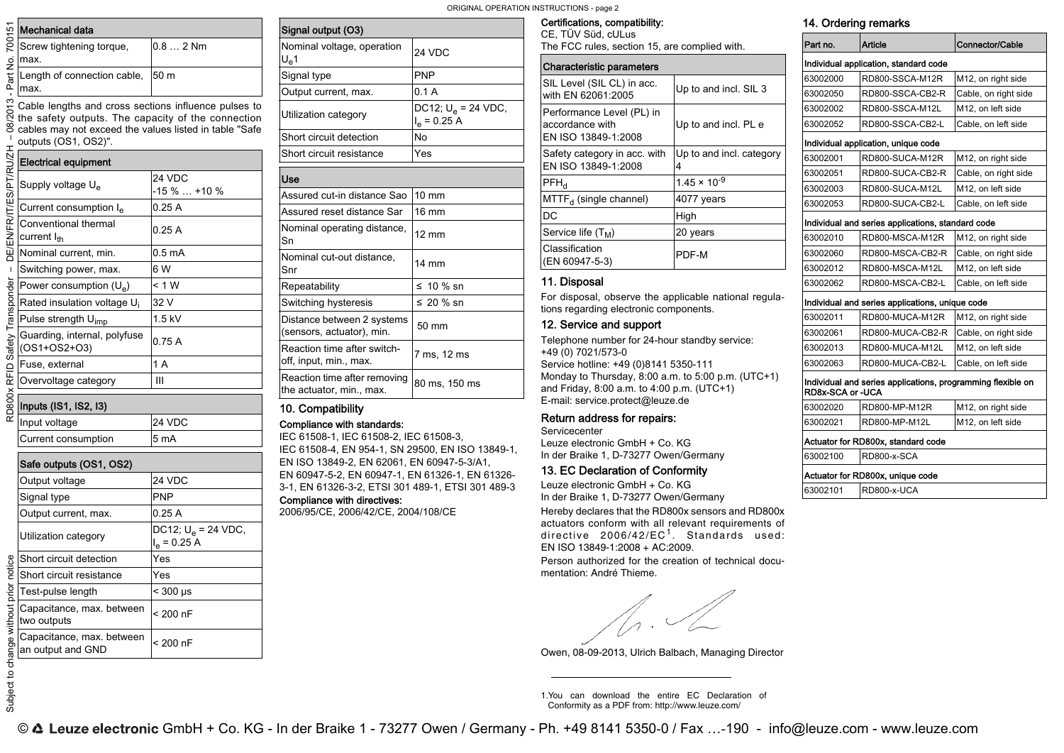ORIGINAL OPERATION INSTRUCTIONS - page 2

|      | င့် Mechanical data                                                                                                                                 |           | Signal output (O3)                 |
|------|-----------------------------------------------------------------------------------------------------------------------------------------------------|-----------|------------------------------------|
| ö    | Screw tightening torque,<br>max.                                                                                                                    | $0.82$ Nm | Nominal voltage, o<br>$U_{\rm e}1$ |
| Part | Length of connection cable,                                                                                                                         | 50 m      | Signal type                        |
|      | max.                                                                                                                                                |           | Output current, ma                 |
|      | $\sum_{k=0}^{\infty}$ Cable lengths and cross sections influence pulses to $\sum_{k=0}^{\infty}$ the safety outputs. The capacity of the connection |           | Utilization categor                |

Cable lengths and cross sections influence pulses to the safety outputs. The capacity of the connection cables may not exceed the values listed in table "Safe outputs (OS1, OS2)".

#### Electrical equipment

8

Subject to

|                                | <b>Electrical equipment</b>                     |                        |
|--------------------------------|-------------------------------------------------|------------------------|
|                                | Supply voltage U <sub>e</sub>                   | 24 VDC<br>$-15\%+10\%$ |
|                                | Current consumption I <sub>e</sub>              | 0.25A                  |
| DE/EN/FR/IT/ES/PT/RU/ZH        | Conventional thermal<br>current l <sub>th</sub> | 0.25A                  |
|                                | Nominal current, min.                           | 0.5 mA                 |
| $\mathbf I$                    | Switching power, max.                           | 6 W                    |
|                                | Power consumption $(U_e)$                       | < 1 W                  |
|                                | Rated insulation voltage U <sub>i</sub>         | 32 V                   |
|                                | Pulse strength U <sub>imp</sub>                 | 1.5 kV                 |
| RD800x RFID Safety Transponder | Guarding, internal, polyfuse<br>(OS1+OS2+O3)    | 0.75A                  |
|                                | Fuse, external                                  | 1 A                    |
|                                | Overvoltage category                            | Ш                      |
|                                | Inputs (IS1, IS2, I3)                           |                        |
|                                | Input voltage                                   | 24 VDC                 |
|                                | Current consumption                             | 5 mA                   |

# Subject to change without prior notice RD800x RFID Safety Transponder – DE/EN/FR/IT/ES/PT/RU/ZH – 08/2013 - Part No. 700151 Safe outputs (OS1, OS2) Output voltage 24 VDC Signal type PNP Output current, max. 0.25 A Utilization category  $\begin{bmatrix} \text{DC12}; U_e = 24 \text{ VDC}, \end{bmatrix}$ l<sub>e</sub> = 0.25 A Short circuit detection Yes Short circuit resistance | Yes è Test-pulse length <sup>&</sup>lt; 300 μs Capacitance, max. between Capacitance, max. between | < 200 nF Capacitance, max. between Capacitatice, in tax. between  $\vert$  < 200 nF char

| Signal output (O3)                                       |                                         |
|----------------------------------------------------------|-----------------------------------------|
| Nominal voltage, operation<br>$U_{\alpha}1$              | 24 VDC                                  |
| Signal type                                              | <b>PNP</b>                              |
| Output current, max.                                     | 0.1A                                    |
| Utilization category                                     | DC12; $U_e$ = 24 VDC,<br>$I_e = 0.25 A$ |
| Short circuit detection                                  | No                                      |
| Short circuit resistance                                 | Yes                                     |
| Use                                                      |                                         |
| Assured cut-in distance Sao                              | $10 \text{ mm}$                         |
| Assured reset distance Sar                               | 16 mm                                   |
| Nominal operating distance,<br>Sn                        | $12 \text{ mm}$                         |
| Nominal cut-out distance.<br>Snr                         | $14 \text{ mm}$                         |
| Repeatability                                            | ≤ 10 % sn                               |
| Switching hysteresis                                     | $\leq 20$ % sn                          |
| Distance between 2 systems<br>(sensors, actuator), min.  | 50 mm                                   |
| Reaction time after switch-<br>off, input, min., max.    | 7 ms, 12 ms                             |
| Reaction time after removing<br>the actuator, min., max. | 80 ms, 150 ms                           |

## 10. Compatibility

## Compliance with standards:

IEC 61508-1, IEC 61508-2, IEC 61508-3, IEC 61508-4, EN 954-1, SN 29500, EN ISO 13849-1, EN ISO 13849-2, EN 62061, EN 60947-5-3/A1, EN 60947-5-2, EN 60947-1, EN 61326-1, EN 61326-

3-1, EN 61326-3-2, ETSI 301 489-1, ETSI 301 489-3 Compliance with directives:

2006/95/CE, 2006/42/CE, 2004/108/CE

Certifications, compatibility:

CE, TÜV Süd, cULus The FCC rules, section 15, are complied with.

| <b>Characteristic parameters</b>                                    |                               |
|---------------------------------------------------------------------|-------------------------------|
| SIL Level (SIL CL) in acc.<br>with EN 62061:2005                    | Up to and incl. SIL 3         |
| Performance Level (PL) in<br>accordance with<br>EN ISO 13849-1:2008 | Up to and incl. PL e          |
| Safety category in acc. with<br>EN ISO 13849-1:2008                 | Up to and incl. category<br>4 |
| $PFH_{d}$                                                           | $1.45 \times 10^{-9}$         |
| $MTTF_{d}$ (single channel)                                         | 4077 years                    |
| DC                                                                  | High                          |
| Service life $(T_M)$                                                | 20 years                      |
| Classification<br>(EN 60947-5-3)                                    | PDF-M                         |

### 11. Disposal

For disposal, observe the applicable national regulations regarding electronic components.

### 12. Service and support

Telephone number for 24-hour standby service: +49 (0) 7021/573-0 Service hotline: +49 (0)8141 5350-111 Monday to Thursday, 8:00 a.m. to 5:00 p.m. (UTC+1) and Friday, 8:00 a.m. to 4:00 p.m. (UTC+1) E-mail: service.protect@leuze.de

### Return address for repairs:

**Servicecenter** Leuze electronic GmbH + Co. KGIn der Braike 1, D-73277 Owen/Germany

#### 13. EC Declaration of Conformity

Leuze electronic GmbH <sup>+</sup> Co. KG In der Braike 1, D-73277 Owen/Germany

Hereby declares that the RD800x sensors and RD800x actuators conform with all relevant requirements of directive 2006/42/EC<sup>1</sup>. Standards used: EN ISO 13849-1:2008 + AC:2009.

Person authorized for the creation of technical documentation: André Thieme.

 $\sqrt{n}$ .

Owen, 08-09-2013, Ulrich Balbach, Managing Director

1.You can download the entire EC Declaration of Conformity as a PDF from: http://www.leuze.com/

## 14. Ordering remarks

| Part no.         | Article                                                     | Connector/Cable                 |
|------------------|-------------------------------------------------------------|---------------------------------|
|                  | Individual application, standard code                       |                                 |
| 63002000         | RD800-SSCA-M12R                                             | M <sub>12</sub> , on right side |
| 63002050         | RD800-SSCA-CB2-R                                            | Cable, on right side            |
| 63002002         | RD800-SSCA-M12L                                             | M12, on left side               |
| 63002052         | RD800-SSCA-CB2-L                                            | Cable, on left side             |
|                  | Individual application, unique code                         |                                 |
| 63002001         | RD800-SUCA-M12R                                             | M <sub>12</sub> , on right side |
| 63002051         | RD800-SUCA-CB2-R                                            | Cable, on right side            |
| 63002003         | RD800-SUCA-M12L                                             | M12, on left side               |
| 63002053         | RD800-SUCA-CB2-L                                            | Cable, on left side             |
|                  | Individual and series applications, standard code           |                                 |
| 63002010         | RD800-MSCA-M12R                                             | M12, on right side              |
| 63002060         | RD800-MSCA-CB2-R                                            | Cable, on right side            |
| 63002012         | RD800-MSCA-M12L                                             | M12, on left side               |
| 63002062         | RD800-MSCA-CB2-L                                            | Cable, on left side             |
|                  | Individual and series applications, unique code             |                                 |
| 63002011         | RD800-MUCA-M12R                                             | M <sub>12</sub> , on right side |
| 63002061         | RD800-MUCA-CB2-R                                            | Cable, on right side            |
| 63002013         | RD800-MUCA-M12L                                             | M12, on left side               |
| 63002063         | RD800-MUCA-CB2-L                                            | Cable, on left side             |
| RD8x-SCA or -UCA | Individual and series applications, programming flexible on |                                 |
| 63002020         | RD800-MP-M12R                                               | M <sub>12</sub> , on right side |
| 63002021         | RD800-MP-M12L                                               | M12, on left side               |
|                  | Actuator for RD800x, standard code                          |                                 |
| 63002100         | RD800-x-SCA                                                 |                                 |
|                  | Actuator for RD800x, unique code                            |                                 |
| 63002101         | RD800-x-UCA                                                 |                                 |
|                  |                                                             |                                 |

© Leuze electronic GmbH + Co. KG - In der Braike 1 - 73277 Owen / Germany - Ph. +49 8141 5350-0 / Fax ...-190 - info@leuze.com - www.leuze.com